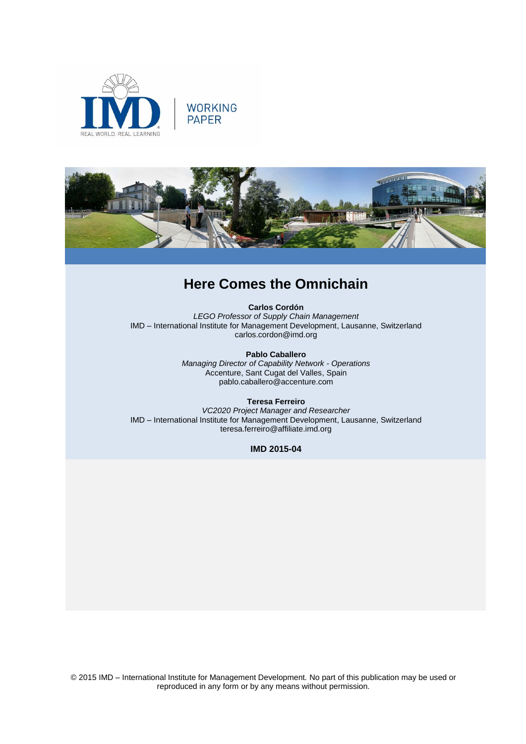





# **Here Comes the Omnichain**

**Carlos Cordón** *LEGO Professor of Supply Chain Management* IMD – International Institute for Management Development, Lausanne, Switzerland carlos.cordon@imd.org

> **Pablo Caballero** *Managing Director of Capability Network - Operations* Accenture, Sant Cugat del Valles, Spain pablo.caballero@accenture.com

**Teresa Ferreiro** *VC2020 Project Manager and Researcher* IMD – International Institute for Management Development, Lausanne, Switzerland teresa.ferreiro@affiliate.imd.org

**IMD 2015-04**

© 2015 IMD – International Institute for Management Development*.* No part of this publication may be used or reproduced in any form or by any means without permission.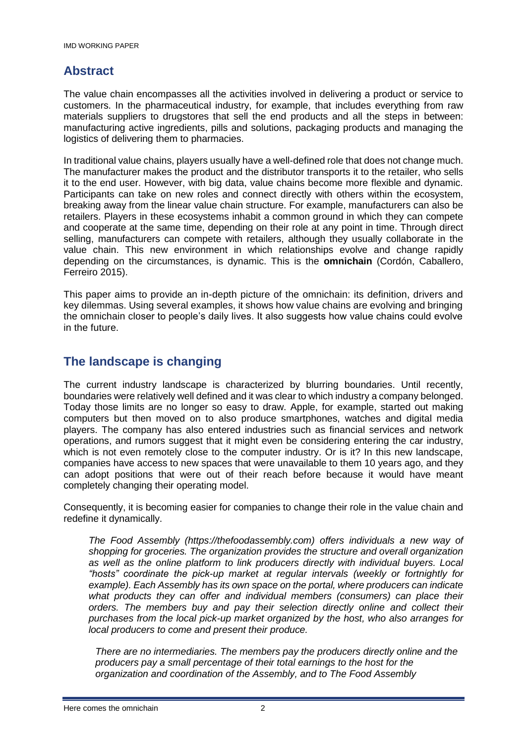### **Abstract**

The value chain encompasses all the activities involved in delivering a product or service to customers. In the pharmaceutical industry, for example, that includes everything from raw materials suppliers to drugstores that sell the end products and all the steps in between: manufacturing active ingredients, pills and solutions, packaging products and managing the logistics of delivering them to pharmacies.

In traditional value chains, players usually have a well-defined role that does not change much. The manufacturer makes the product and the distributor transports it to the retailer, who sells it to the end user. However, with big data, value chains become more flexible and dynamic. Participants can take on new roles and connect directly with others within the ecosystem, breaking away from the linear value chain structure. For example, manufacturers can also be retailers. Players in these ecosystems inhabit a common ground in which they can compete and cooperate at the same time, depending on their role at any point in time. Through direct selling, manufacturers can compete with retailers, although they usually collaborate in the value chain. This new environment in which relationships evolve and change rapidly depending on the circumstances, is dynamic. This is the **omnichain** (Cordón, Caballero, Ferreiro 2015).

This paper aims to provide an in-depth picture of the omnichain: its definition, drivers and key dilemmas. Using several examples, it shows how value chains are evolving and bringing the omnichain closer to people's daily lives. It also suggests how value chains could evolve in the future.

### **The landscape is changing**

The current industry landscape is characterized by blurring boundaries. Until recently, boundaries were relatively well defined and it was clear to which industry a company belonged. Today those limits are no longer so easy to draw. Apple, for example, started out making computers but then moved on to also produce smartphones, watches and digital media players. The company has also entered industries such as financial services and network operations, and rumors suggest that it might even be considering entering the car industry, which is not even remotely close to the computer industry. Or is it? In this new landscape, companies have access to new spaces that were unavailable to them 10 years ago, and they can adopt positions that were out of their reach before because it would have meant completely changing their operating model.

Consequently, it is becoming easier for companies to change their role in the value chain and redefine it dynamically.

*The Food Assembly (https://thefoodassembly.com) offers individuals a new way of shopping for groceries. The organization provides the structure and overall organization*  as well as the online platform to link producers directly with individual buyers. Local *"hosts" coordinate the pick-up market at regular intervals (weekly or fortnightly for example). Each Assembly has its own space on the portal, where producers can indicate what products they can offer and individual members (consumers) can place their orders. The members buy and pay their selection directly online and collect their purchases from the local pick-up market organized by the host, who also arranges for local producers to come and present their produce.* 

*There are no intermediaries. The members pay the producers directly online and the producers pay a small percentage of their total earnings to the host for the organization and coordination of the Assembly, and to The Food Assembly*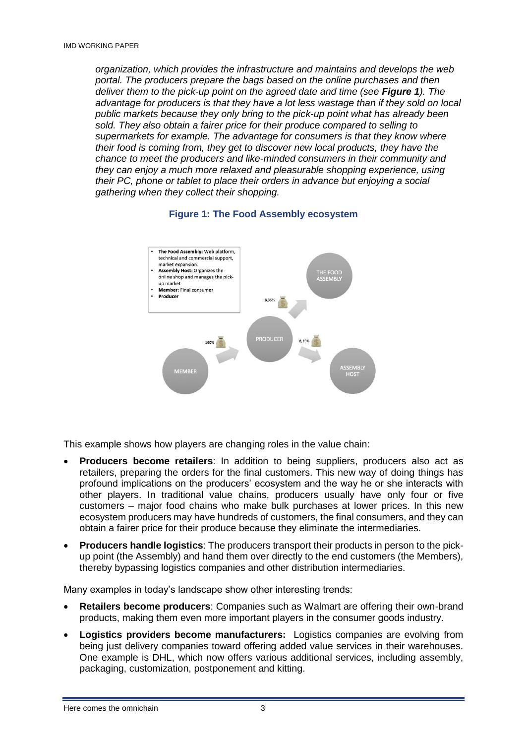*organization, which provides the infrastructure and maintains and develops the web portal. The producers prepare the bags based on the online purchases and then deliver them to the pick-up point on the agreed date and time (see Figure 1). The advantage for producers is that they have a lot less wastage than if they sold on local public markets because they only bring to the pick-up point what has already been sold. They also obtain a fairer price for their produce compared to selling to supermarkets for example. The advantage for consumers is that they know where their food is coming from, they get to discover new local products, they have the chance to meet the producers and like-minded consumers in their community and they can enjoy a much more relaxed and pleasurable shopping experience, using their PC, phone or tablet to place their orders in advance but enjoying a social gathering when they collect their shopping.*





This example shows how players are changing roles in the value chain:

- **Producers become retailers**: In addition to being suppliers, producers also act as retailers, preparing the orders for the final customers. This new way of doing things has profound implications on the producers' ecosystem and the way he or she interacts with other players. In traditional value chains, producers usually have only four or five customers – major food chains who make bulk purchases at lower prices. In this new ecosystem producers may have hundreds of customers, the final consumers, and they can obtain a fairer price for their produce because they eliminate the intermediaries.
- **Producers handle logistics**: The producers transport their products in person to the pickup point (the Assembly) and hand them over directly to the end customers (the Members), thereby bypassing logistics companies and other distribution intermediaries.

Many examples in today's landscape show other interesting trends:

- **Retailers become producers**: Companies such as Walmart are offering their own-brand products, making them even more important players in the consumer goods industry.
- **Logistics providers become manufacturers:** Logistics companies are evolving from being just delivery companies toward offering added value services in their warehouses. One example is DHL, which now offers various additional services, including assembly, packaging, customization, postponement and kitting.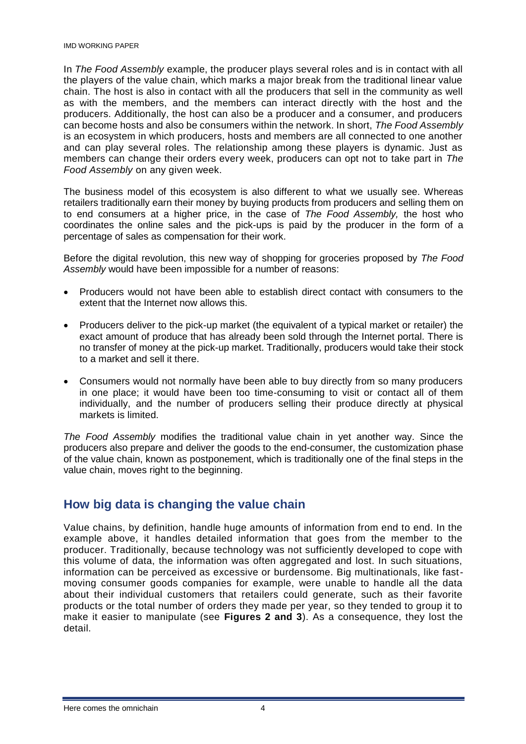In *The Food Assembly* example, the producer plays several roles and is in contact with all the players of the value chain, which marks a major break from the traditional linear value chain. The host is also in contact with all the producers that sell in the community as well as with the members, and the members can interact directly with the host and the producers. Additionally, the host can also be a producer and a consumer, and producers can become hosts and also be consumers within the network. In short, *The Food Assembly* is an ecosystem in which producers, hosts and members are all connected to one another and can play several roles. The relationship among these players is dynamic. Just as members can change their orders every week, producers can opt not to take part in *The Food Assembly* on any given week.

The business model of this ecosystem is also different to what we usually see. Whereas retailers traditionally earn their money by buying products from producers and selling them on to end consumers at a higher price, in the case of *The Food Assembly,* the host who coordinates the online sales and the pick-ups is paid by the producer in the form of a percentage of sales as compensation for their work.

Before the digital revolution, this new way of shopping for groceries proposed by *The Food Assembly* would have been impossible for a number of reasons:

- Producers would not have been able to establish direct contact with consumers to the extent that the Internet now allows this.
- Producers deliver to the pick-up market (the equivalent of a typical market or retailer) the exact amount of produce that has already been sold through the Internet portal. There is no transfer of money at the pick-up market. Traditionally, producers would take their stock to a market and sell it there.
- Consumers would not normally have been able to buy directly from so many producers in one place; it would have been too time-consuming to visit or contact all of them individually, and the number of producers selling their produce directly at physical markets is limited.

*The Food Assembly* modifies the traditional value chain in yet another way. Since the producers also prepare and deliver the goods to the end-consumer, the customization phase of the value chain, known as postponement, which is traditionally one of the final steps in the value chain, moves right to the beginning.

## **How big data is changing the value chain**

Value chains, by definition, handle huge amounts of information from end to end. In the example above, it handles detailed information that goes from the member to the producer. Traditionally, because technology was not sufficiently developed to cope with this volume of data, the information was often aggregated and lost. In such situations, information can be perceived as excessive or burdensome. Big multinationals, like fastmoving consumer goods companies for example, were unable to handle all the data about their individual customers that retailers could generate, such as their favorite products or the total number of orders they made per year, so they tended to group it to make it easier to manipulate (see **Figures 2 and 3**). As a consequence, they lost the detail.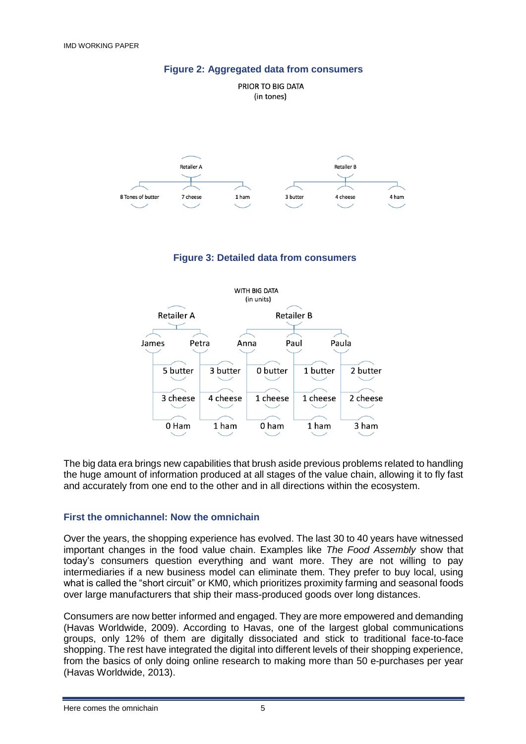

### **Figure 2: Aggregated data from consumers**



The big data era brings new capabilities that brush aside previous problems related to handling the huge amount of information produced at all stages of the value chain, allowing it to fly fast and accurately from one end to the other and in all directions within the ecosystem.

#### **First the omnichannel: Now the omnichain**

Over the years, the shopping experience has evolved. The last 30 to 40 years have witnessed important changes in the food value chain. Examples like *The Food Assembly* show that today's consumers question everything and want more. They are not willing to pay intermediaries if a new business model can eliminate them. They prefer to buy local, using what is called the "short circuit" or KM0, which prioritizes proximity farming and seasonal foods over large manufacturers that ship their mass-produced goods over long distances.

Consumers are now better informed and engaged. They are more empowered and demanding (Havas Worldwide, 2009). According to Havas, one of the largest global communications groups, only 12% of them are digitally dissociated and stick to traditional face-to-face shopping. The rest have integrated the digital into different levels of their shopping experience, from the basics of only doing online research to making more than 50 e-purchases per year (Havas Worldwide, 2013).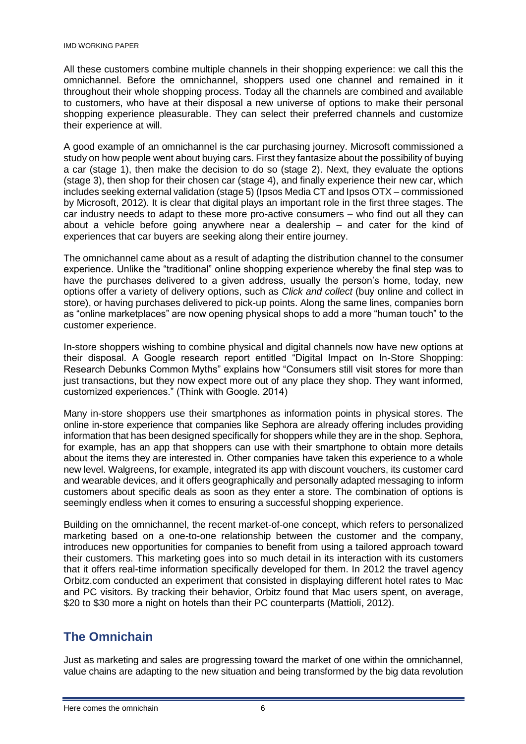#### IMD WORKING PAPER

All these customers combine multiple channels in their shopping experience: we call this the omnichannel. Before the omnichannel, shoppers used one channel and remained in it throughout their whole shopping process. Today all the channels are combined and available to customers, who have at their disposal a new universe of options to make their personal shopping experience pleasurable. They can select their preferred channels and customize their experience at will.

A good example of an omnichannel is the car purchasing journey. Microsoft commissioned a study on how people went about buying cars. First they fantasize about the possibility of buying a car (stage 1), then make the decision to do so (stage 2). Next, they evaluate the options (stage 3), then shop for their chosen car (stage 4), and finally experience their new car, which includes seeking external validation (stage 5) (Ipsos Media CT and Ipsos OTX – commissioned by Microsoft, 2012). It is clear that digital plays an important role in the first three stages. The car industry needs to adapt to these more pro-active consumers – who find out all they can about a vehicle before going anywhere near a dealership – and cater for the kind of experiences that car buyers are seeking along their entire journey.

The omnichannel came about as a result of adapting the distribution channel to the consumer experience. Unlike the "traditional" online shopping experience whereby the final step was to have the purchases delivered to a given address, usually the person's home, today, new options offer a variety of delivery options, such as *Click and collect* (buy online and collect in store), or having purchases delivered to pick-up points. Along the same lines, companies born as "online marketplaces" are now opening physical shops to add a more "human touch" to the customer experience.

In-store shoppers wishing to combine physical and digital channels now have new options at their disposal. A Google research report entitled "Digital Impact on In-Store Shopping: Research Debunks Common Myths" explains how "Consumers still visit stores for more than just transactions, but they now expect more out of any place they shop. They want informed, customized experiences." (Think with Google. 2014)

Many in-store shoppers use their smartphones as information points in physical stores. The online in-store experience that companies like Sephora are already offering includes providing information that has been designed specifically for shoppers while they are in the shop. Sephora, for example, has an app that shoppers can use with their smartphone to obtain more details about the items they are interested in. Other companies have taken this experience to a whole new level. Walgreens, for example, integrated its app with discount vouchers, its customer card and wearable devices, and it offers geographically and personally adapted messaging to inform customers about specific deals as soon as they enter a store. The combination of options is seemingly endless when it comes to ensuring a successful shopping experience.

Building on the omnichannel, the recent market-of-one concept, which refers to personalized marketing based on a one-to-one relationship between the customer and the company, introduces new opportunities for companies to benefit from using a tailored approach toward their customers. This marketing goes into so much detail in its interaction with its customers that it offers real-time information specifically developed for them. In 2012 the travel agency Orbitz.com conducted an experiment that consisted in displaying different hotel rates to Mac and PC visitors. By tracking their behavior, Orbitz found that Mac users spent, on average, \$20 to \$30 more a night on hotels than their PC counterparts (Mattioli, 2012).

## **The Omnichain**

Just as marketing and sales are progressing toward the market of one within the omnichannel, value chains are adapting to the new situation and being transformed by the big data revolution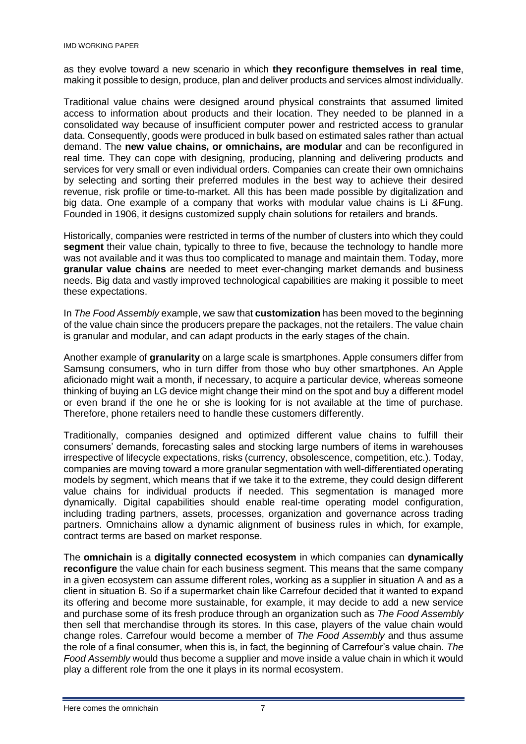as they evolve toward a new scenario in which **they reconfigure themselves in real time**, making it possible to design, produce, plan and deliver products and services almost individually.

Traditional value chains were designed around physical constraints that assumed limited access to information about products and their location. They needed to be planned in a consolidated way because of insufficient computer power and restricted access to granular data. Consequently, goods were produced in bulk based on estimated sales rather than actual demand. The **new value chains, or omnichains, are modular** and can be reconfigured in real time. They can cope with designing, producing, planning and delivering products and services for very small or even individual orders. Companies can create their own omnichains by selecting and sorting their preferred modules in the best way to achieve their desired revenue, risk profile or time-to-market. All this has been made possible by digitalization and big data. One example of a company that works with modular value chains is Li &Fung. Founded in 1906, it designs customized supply chain solutions for retailers and brands.

Historically, companies were restricted in terms of the number of clusters into which they could **segment** their value chain, typically to three to five, because the technology to handle more was not available and it was thus too complicated to manage and maintain them. Today, more **granular value chains** are needed to meet ever-changing market demands and business needs. Big data and vastly improved technological capabilities are making it possible to meet these expectations.

In *The Food Assembly* example, we saw that **customization** has been moved to the beginning of the value chain since the producers prepare the packages, not the retailers. The value chain is granular and modular, and can adapt products in the early stages of the chain.

Another example of **granularity** on a large scale is smartphones. Apple consumers differ from Samsung consumers, who in turn differ from those who buy other smartphones. An Apple aficionado might wait a month, if necessary, to acquire a particular device, whereas someone thinking of buying an LG device might change their mind on the spot and buy a different model or even brand if the one he or she is looking for is not available at the time of purchase. Therefore, phone retailers need to handle these customers differently.

Traditionally, companies designed and optimized different value chains to fulfill their consumers' demands, forecasting sales and stocking large numbers of items in warehouses irrespective of lifecycle expectations, risks (currency, obsolescence, competition, etc.). Today, companies are moving toward a more granular segmentation with well-differentiated operating models by segment, which means that if we take it to the extreme, they could design different value chains for individual products if needed. This segmentation is managed more dynamically. Digital capabilities should enable real-time operating model configuration, including trading partners, assets, processes, organization and governance across trading partners. Omnichains allow a dynamic alignment of business rules in which, for example, contract terms are based on market response.

The **omnichain** is a **digitally connected ecosystem** in which companies can **dynamically reconfigure** the value chain for each business segment. This means that the same company in a given ecosystem can assume different roles, working as a supplier in situation A and as a client in situation B. So if a supermarket chain like Carrefour decided that it wanted to expand its offering and become more sustainable, for example, it may decide to add a new service and purchase some of its fresh produce through an organization such as *The Food Assembly* then sell that merchandise through its stores. In this case, players of the value chain would change roles. Carrefour would become a member of *The Food Assembly* and thus assume the role of a final consumer, when this is, in fact, the beginning of Carrefour's value chain. *The Food Assembly* would thus become a supplier and move inside a value chain in which it would play a different role from the one it plays in its normal ecosystem.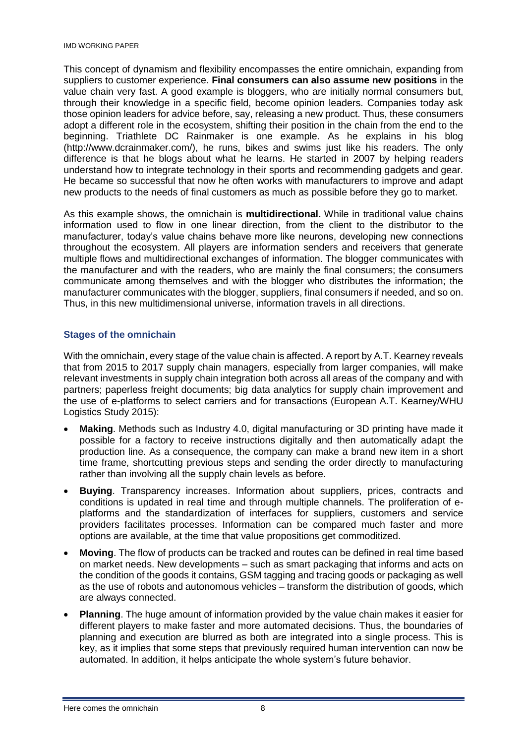This concept of dynamism and flexibility encompasses the entire omnichain, expanding from suppliers to customer experience. **Final consumers can also assume new positions** in the value chain very fast. A good example is bloggers, who are initially normal consumers but, through their knowledge in a specific field, become opinion leaders. Companies today ask those opinion leaders for advice before, say, releasing a new product. Thus, these consumers adopt a different role in the ecosystem, shifting their position in the chain from the end to the beginning. Triathlete DC Rainmaker is one example. As he explains in his blog (http://www.dcrainmaker.com/), he runs, bikes and swims just like his readers. The only difference is that he blogs about what he learns. He started in 2007 by helping readers understand how to integrate technology in their sports and recommending gadgets and gear. He became so successful that now he often works with manufacturers to improve and adapt new products to the needs of final customers as much as possible before they go to market.

As this example shows, the omnichain is **multidirectional.** While in traditional value chains information used to flow in one linear direction, from the client to the distributor to the manufacturer, today's value chains behave more like neurons, developing new connections throughout the ecosystem. All players are information senders and receivers that generate multiple flows and multidirectional exchanges of information. The blogger communicates with the manufacturer and with the readers, who are mainly the final consumers; the consumers communicate among themselves and with the blogger who distributes the information; the manufacturer communicates with the blogger, suppliers, final consumers if needed, and so on. Thus, in this new multidimensional universe, information travels in all directions.

### **Stages of the omnichain**

With the omnichain, every stage of the value chain is affected. A report by A.T. Kearney reveals that from 2015 to 2017 supply chain managers, especially from larger companies, will make relevant investments in supply chain integration both across all areas of the company and with partners; paperless freight documents; big data analytics for supply chain improvement and the use of e-platforms to select carriers and for transactions (European A.T. Kearney/WHU Logistics Study 2015):

- **Making**. Methods such as Industry 4.0, digital manufacturing or 3D printing have made it possible for a factory to receive instructions digitally and then automatically adapt the production line. As a consequence, the company can make a brand new item in a short time frame, shortcutting previous steps and sending the order directly to manufacturing rather than involving all the supply chain levels as before.
- **Buying**. Transparency increases. Information about suppliers, prices, contracts and conditions is updated in real time and through multiple channels. The proliferation of eplatforms and the standardization of interfaces for suppliers, customers and service providers facilitates processes. Information can be compared much faster and more options are available, at the time that value propositions get commoditized.
- **Moving**. The flow of products can be tracked and routes can be defined in real time based on market needs. New developments – such as smart packaging that informs and acts on the condition of the goods it contains, GSM tagging and tracing goods or packaging as well as the use of robots and autonomous vehicles – transform the distribution of goods, which are always connected.
- **Planning**. The huge amount of information provided by the value chain makes it easier for different players to make faster and more automated decisions. Thus, the boundaries of planning and execution are blurred as both are integrated into a single process. This is key, as it implies that some steps that previously required human intervention can now be automated. In addition, it helps anticipate the whole system's future behavior.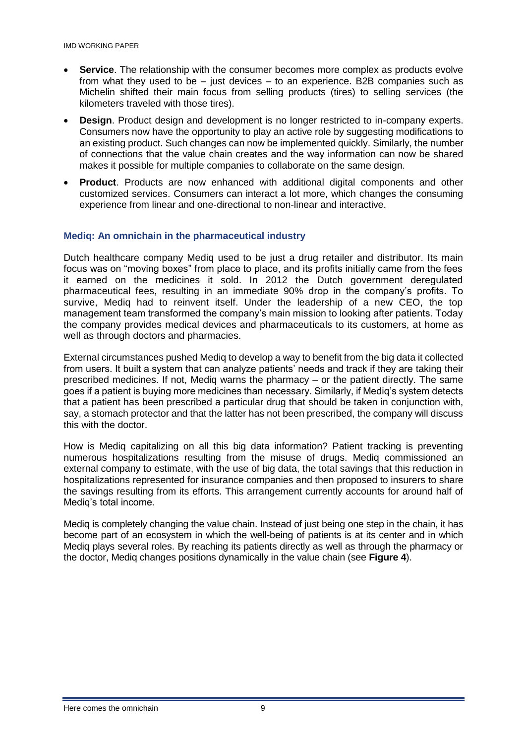IMD WORKING PAPER

- **Service**. The relationship with the consumer becomes more complex as products evolve from what they used to be  $-$  just devices  $-$  to an experience. B2B companies such as Michelin shifted their main focus from selling products (tires) to selling services (the kilometers traveled with those tires).
- **Design**. Product design and development is no longer restricted to in-company experts. Consumers now have the opportunity to play an active role by suggesting modifications to an existing product. Such changes can now be implemented quickly. Similarly, the number of connections that the value chain creates and the way information can now be shared makes it possible for multiple companies to collaborate on the same design.
- **Product**. Products are now enhanced with additional digital components and other customized services. Consumers can interact a lot more, which changes the consuming experience from linear and one-directional to non-linear and interactive.

### **Mediq: An omnichain in the pharmaceutical industry**

Dutch healthcare company Mediq used to be just a drug retailer and distributor. Its main focus was on "moving boxes" from place to place, and its profits initially came from the fees it earned on the medicines it sold. In 2012 the Dutch government deregulated pharmaceutical fees, resulting in an immediate 90% drop in the company's profits. To survive, Mediq had to reinvent itself. Under the leadership of a new CEO, the top management team transformed the company's main mission to looking after patients. Today the company provides medical devices and pharmaceuticals to its customers, at home as well as through doctors and pharmacies.

External circumstances pushed Mediq to develop a way to benefit from the big data it collected from users. It built a system that can analyze patients' needs and track if they are taking their prescribed medicines. If not, Mediq warns the pharmacy – or the patient directly. The same goes if a patient is buying more medicines than necessary. Similarly, if Mediq's system detects that a patient has been prescribed a particular drug that should be taken in conjunction with, say, a stomach protector and that the latter has not been prescribed, the company will discuss this with the doctor.

How is Mediq capitalizing on all this big data information? Patient tracking is preventing numerous hospitalizations resulting from the misuse of drugs. Mediq commissioned an external company to estimate, with the use of big data, the total savings that this reduction in hospitalizations represented for insurance companies and then proposed to insurers to share the savings resulting from its efforts. This arrangement currently accounts for around half of Mediq's total income.

Mediq is completely changing the value chain. Instead of just being one step in the chain, it has become part of an ecosystem in which the well-being of patients is at its center and in which Mediq plays several roles. By reaching its patients directly as well as through the pharmacy or the doctor, Mediq changes positions dynamically in the value chain (see **Figure 4**).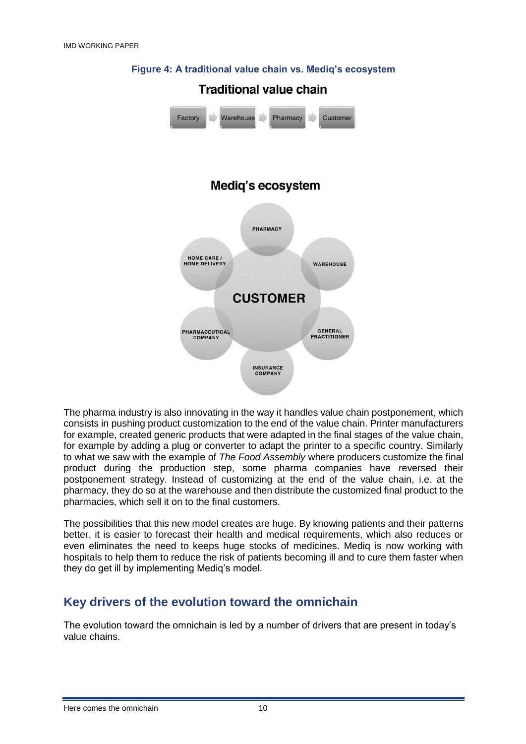

### **Figure 4: A traditional value chain vs. Mediq's ecosystem**

The pharma industry is also innovating in the way it handles value chain postponement, which consists in pushing product customization to the end of the value chain. Printer manufacturers for example, created generic products that were adapted in the final stages of the value chain, for example by adding a plug or converter to adapt the printer to a specific country. Similarly to what we saw with the example of *The Food Assembly* where producers customize the final product during the production step, some pharma companies have reversed their postponement strategy. Instead of customizing at the end of the value chain, i.e. at the pharmacy, they do so at the warehouse and then distribute the customized final product to the pharmacies, which sell it on to the final customers.

The possibilities that this new model creates are huge. By knowing patients and their patterns better, it is easier to forecast their health and medical requirements, which also reduces or even eliminates the need to keeps huge stocks of medicines. Mediq is now working with hospitals to help them to reduce the risk of patients becoming ill and to cure them faster when they do get ill by implementing Mediq's model.

## **Key drivers of the evolution toward the omnichain**

The evolution toward the omnichain is led by a number of drivers that are present in today's value chains.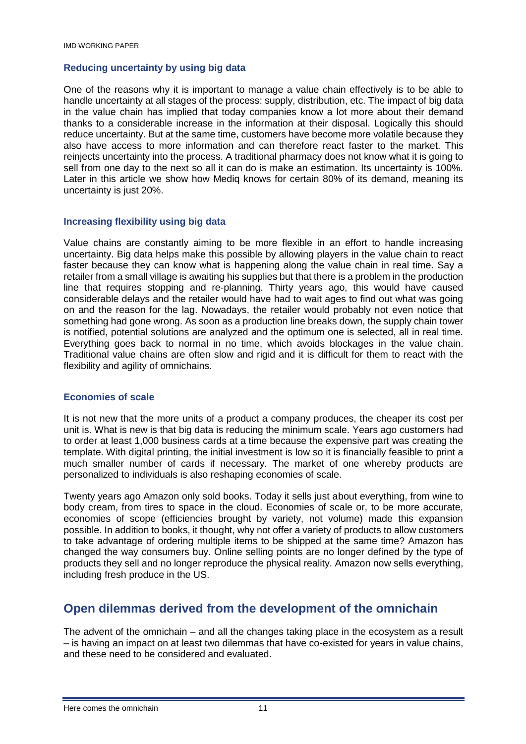#### **Reducing uncertainty by using big data**

One of the reasons why it is important to manage a value chain effectively is to be able to handle uncertainty at all stages of the process: supply, distribution, etc. The impact of big data in the value chain has implied that today companies know a lot more about their demand thanks to a considerable increase in the information at their disposal. Logically this should reduce uncertainty. But at the same time, customers have become more volatile because they also have access to more information and can therefore react faster to the market. This reinjects uncertainty into the process. A traditional pharmacy does not know what it is going to sell from one day to the next so all it can do is make an estimation. Its uncertainty is 100%. Later in this article we show how Mediq knows for certain 80% of its demand, meaning its uncertainty is just 20%.

#### **Increasing flexibility using big data**

Value chains are constantly aiming to be more flexible in an effort to handle increasing uncertainty. Big data helps make this possible by allowing players in the value chain to react faster because they can know what is happening along the value chain in real time. Say a retailer from a small village is awaiting his supplies but that there is a problem in the production line that requires stopping and re-planning. Thirty years ago, this would have caused considerable delays and the retailer would have had to wait ages to find out what was going on and the reason for the lag. Nowadays, the retailer would probably not even notice that something had gone wrong. As soon as a production line breaks down, the supply chain tower is notified, potential solutions are analyzed and the optimum one is selected, all in real time. Everything goes back to normal in no time, which avoids blockages in the value chain. Traditional value chains are often slow and rigid and it is difficult for them to react with the flexibility and agility of omnichains.

#### **Economies of scale**

It is not new that the more units of a product a company produces, the cheaper its cost per unit is. What is new is that big data is reducing the minimum scale. Years ago customers had to order at least 1,000 business cards at a time because the expensive part was creating the template. With digital printing, the initial investment is low so it is financially feasible to print a much smaller number of cards if necessary. The market of one whereby products are personalized to individuals is also reshaping economies of scale.

Twenty years ago Amazon only sold books. Today it sells just about everything, from wine to body cream, from tires to space in the cloud. Economies of scale or, to be more accurate, economies of scope (efficiencies brought by variety, not volume) made this expansion possible. In addition to books, it thought, why not offer a variety of products to allow customers to take advantage of ordering multiple items to be shipped at the same time? Amazon has changed the way consumers buy. Online selling points are no longer defined by the type of products they sell and no longer reproduce the physical reality. Amazon now sells everything, including fresh produce in the US.

### **Open dilemmas derived from the development of the omnichain**

The advent of the omnichain – and all the changes taking place in the ecosystem as a result – is having an impact on at least two dilemmas that have co-existed for years in value chains, and these need to be considered and evaluated.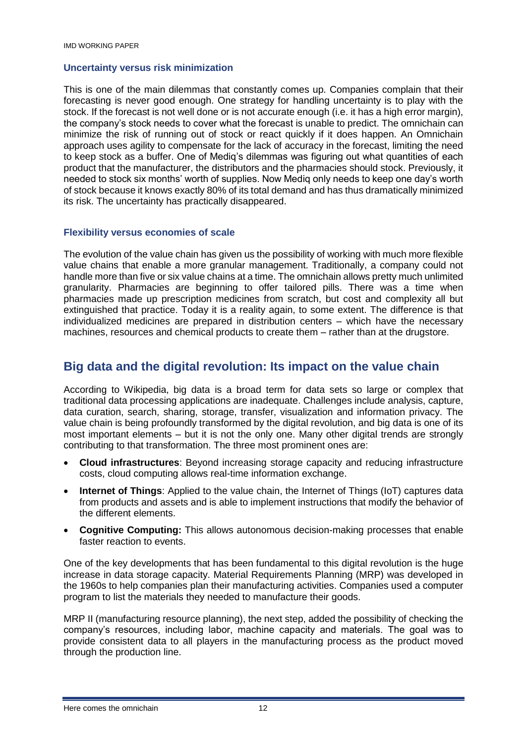#### **Uncertainty versus risk minimization**

This is one of the main dilemmas that constantly comes up. Companies complain that their forecasting is never good enough. One strategy for handling uncertainty is to play with the stock. If the forecast is not well done or is not accurate enough (i.e. it has a high error margin), the company's stock needs to cover what the forecast is unable to predict. The omnichain can minimize the risk of running out of stock or react quickly if it does happen. An Omnichain approach uses agility to compensate for the lack of accuracy in the forecast, limiting the need to keep stock as a buffer. One of Mediq's dilemmas was figuring out what quantities of each product that the manufacturer, the distributors and the pharmacies should stock. Previously, it needed to stock six months' worth of supplies. Now Mediq only needs to keep one day's worth of stock because it knows exactly 80% of its total demand and has thus dramatically minimized its risk. The uncertainty has practically disappeared.

#### **Flexibility versus economies of scale**

The evolution of the value chain has given us the possibility of working with much more flexible value chains that enable a more granular management. Traditionally, a company could not handle more than five or six value chains at a time. The omnichain allows pretty much unlimited granularity. Pharmacies are beginning to offer tailored pills. There was a time when pharmacies made up prescription medicines from scratch, but cost and complexity all but extinguished that practice. Today it is a reality again, to some extent. The difference is that individualized medicines are prepared in distribution centers – which have the necessary machines, resources and chemical products to create them – rather than at the drugstore.

### **Big data and the digital revolution: Its impact on the value chain**

According to Wikipedia, big data is a broad term for data sets so large or complex that traditional data processing applications are inadequate. Challenges include analysis, capture, data curation, search, sharing, storage, transfer, visualization and information privacy. The value chain is being profoundly transformed by the digital revolution, and big data is one of its most important elements – but it is not the only one. Many other digital trends are strongly contributing to that transformation. The three most prominent ones are:

- **Cloud infrastructures**: Beyond increasing storage capacity and reducing infrastructure costs, cloud computing allows real-time information exchange.
- **Internet of Things:** Applied to the value chain, the Internet of Things (IoT) captures data from products and assets and is able to implement instructions that modify the behavior of the different elements.
- **Cognitive Computing:** This allows autonomous decision-making processes that enable faster reaction to events.

One of the key developments that has been fundamental to this digital revolution is the huge increase in data storage capacity. Material Requirements Planning (MRP) was developed in the 1960s to help companies plan their manufacturing activities. Companies used a computer program to list the materials they needed to manufacture their goods.

MRP II (manufacturing resource planning), the next step, added the possibility of checking the company's resources, including labor, machine capacity and materials. The goal was to provide consistent data to all players in the manufacturing process as the product moved through the production line.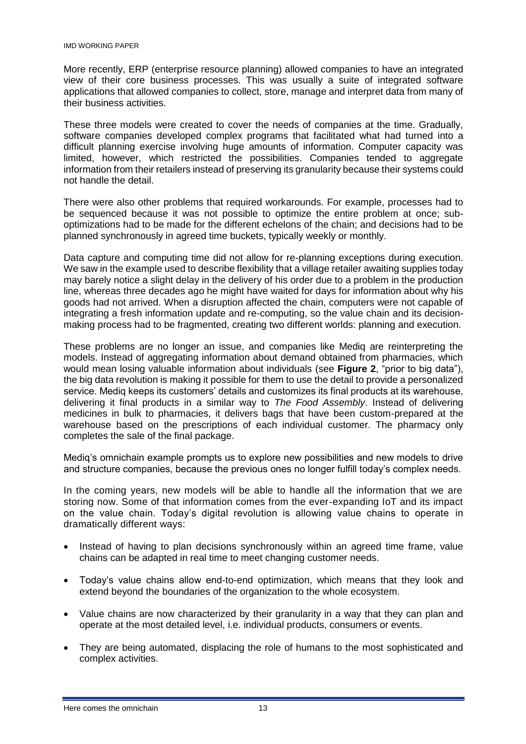More recently, ERP (enterprise resource planning) allowed companies to have an integrated view of their core business processes. This was usually a suite of integrated software applications that allowed companies to collect, store, manage and interpret data from many of their business activities.

These three models were created to cover the needs of companies at the time. Gradually, software companies developed complex programs that facilitated what had turned into a difficult planning exercise involving huge amounts of information. Computer capacity was limited, however, which restricted the possibilities. Companies tended to aggregate information from their retailers instead of preserving its granularity because their systems could not handle the detail.

There were also other problems that required workarounds. For example, processes had to be sequenced because it was not possible to optimize the entire problem at once; suboptimizations had to be made for the different echelons of the chain; and decisions had to be planned synchronously in agreed time buckets, typically weekly or monthly.

Data capture and computing time did not allow for re-planning exceptions during execution. We saw in the example used to describe flexibility that a village retailer awaiting supplies today may barely notice a slight delay in the delivery of his order due to a problem in the production line, whereas three decades ago he might have waited for days for information about why his goods had not arrived. When a disruption affected the chain, computers were not capable of integrating a fresh information update and re-computing, so the value chain and its decisionmaking process had to be fragmented, creating two different worlds: planning and execution.

These problems are no longer an issue, and companies like Mediq are reinterpreting the models. Instead of aggregating information about demand obtained from pharmacies, which would mean losing valuable information about individuals (see **Figure 2**, "prior to big data"), the big data revolution is making it possible for them to use the detail to provide a personalized service. Mediq keeps its customers' details and customizes its final products at its warehouse, delivering it final products in a similar way to *The Food Assembly*. Instead of delivering medicines in bulk to pharmacies, it delivers bags that have been custom-prepared at the warehouse based on the prescriptions of each individual customer. The pharmacy only completes the sale of the final package.

Mediq's omnichain example prompts us to explore new possibilities and new models to drive and structure companies, because the previous ones no longer fulfill today's complex needs.

In the coming years, new models will be able to handle all the information that we are storing now. Some of that information comes from the ever-expanding IoT and its impact on the value chain. Today's digital revolution is allowing value chains to operate in dramatically different ways:

- Instead of having to plan decisions synchronously within an agreed time frame, value chains can be adapted in real time to meet changing customer needs.
- Today's value chains allow end-to-end optimization, which means that they look and extend beyond the boundaries of the organization to the whole ecosystem.
- Value chains are now characterized by their granularity in a way that they can plan and operate at the most detailed level, i.e. individual products, consumers or events.
- They are being automated, displacing the role of humans to the most sophisticated and complex activities.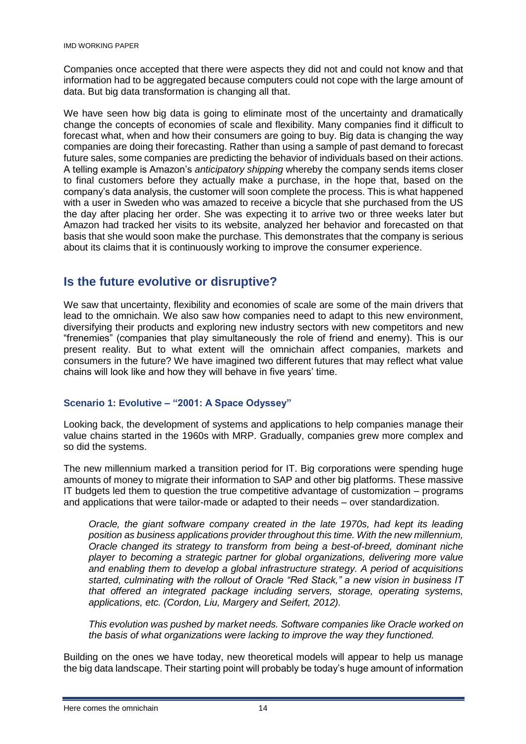Companies once accepted that there were aspects they did not and could not know and that information had to be aggregated because computers could not cope with the large amount of data. But big data transformation is changing all that.

We have seen how big data is going to eliminate most of the uncertainty and dramatically change the concepts of economies of scale and flexibility. Many companies find it difficult to forecast what, when and how their consumers are going to buy. Big data is changing the way companies are doing their forecasting. Rather than using a sample of past demand to forecast future sales, some companies are predicting the behavior of individuals based on their actions. A telling example is Amazon's *anticipatory shipping* whereby the company sends items closer to final customers before they actually make a purchase, in the hope that, based on the company's data analysis, the customer will soon complete the process. This is what happened with a user in Sweden who was amazed to receive a bicycle that she purchased from the US the day after placing her order. She was expecting it to arrive two or three weeks later but Amazon had tracked her visits to its website, analyzed her behavior and forecasted on that basis that she would soon make the purchase. This demonstrates that the company is serious about its claims that it is continuously working to improve the consumer experience.

## **Is the future evolutive or disruptive?**

We saw that uncertainty, flexibility and economies of scale are some of the main drivers that lead to the omnichain. We also saw how companies need to adapt to this new environment, diversifying their products and exploring new industry sectors with new competitors and new "frenemies" (companies that play simultaneously the role of friend and enemy). This is our present reality. But to what extent will the omnichain affect companies, markets and consumers in the future? We have imagined two different futures that may reflect what value chains will look like and how they will behave in five years' time.

### **Scenario 1: Evolutive – "2001: A Space Odyssey"**

Looking back, the development of systems and applications to help companies manage their value chains started in the 1960s with MRP. Gradually, companies grew more complex and so did the systems.

The new millennium marked a transition period for IT. Big corporations were spending huge amounts of money to migrate their information to SAP and other big platforms. These massive IT budgets led them to question the true competitive advantage of customization – programs and applications that were tailor-made or adapted to their needs – over standardization.

*Oracle, the giant software company created in the late 1970s, had kept its leading position as business applications provider throughout this time. With the new millennium, Oracle changed its strategy to transform from being a best-of-breed, dominant niche player to becoming a strategic partner for global organizations, delivering more value and enabling them to develop a global infrastructure strategy. A period of acquisitions started, culminating with the rollout of Oracle "Red Stack," a new vision in business IT that offered an integrated package including servers, storage, operating systems, applications, etc. (Cordon, Liu, Margery and Seifert, 2012).* 

*This evolution was pushed by market needs. Software companies like Oracle worked on the basis of what organizations were lacking to improve the way they functioned.* 

Building on the ones we have today, new theoretical models will appear to help us manage the big data landscape. Their starting point will probably be today's huge amount of information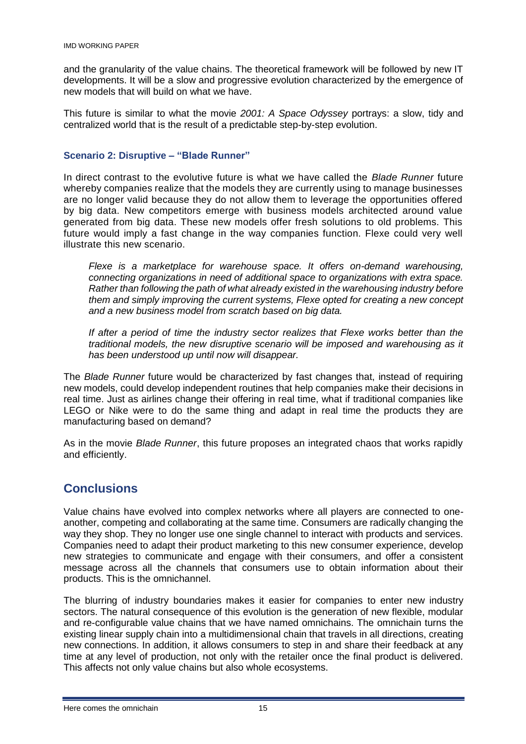and the granularity of the value chains. The theoretical framework will be followed by new IT developments. It will be a slow and progressive evolution characterized by the emergence of new models that will build on what we have.

This future is similar to what the movie *2001: A Space Odyssey* portrays: a slow, tidy and centralized world that is the result of a predictable step-by-step evolution.

#### **Scenario 2: Disruptive – "Blade Runner"**

In direct contrast to the evolutive future is what we have called the *Blade Runner* future whereby companies realize that the models they are currently using to manage businesses are no longer valid because they do not allow them to leverage the opportunities offered by big data. New competitors emerge with business models architected around value generated from big data. These new models offer fresh solutions to old problems. This future would imply a fast change in the way companies function. Flexe could very well illustrate this new scenario.

*Flexe is a marketplace for warehouse space. It offers on-demand warehousing, connecting organizations in need of additional space to organizations with extra space. Rather than following the path of what already existed in the warehousing industry before them and simply improving the current systems, Flexe opted for creating a new concept and a new business model from scratch based on big data.* 

*If after a period of time the industry sector realizes that Flexe works better than the traditional models, the new disruptive scenario will be imposed and warehousing as it has been understood up until now will disappear.* 

The *Blade Runner* future would be characterized by fast changes that, instead of requiring new models, could develop independent routines that help companies make their decisions in real time. Just as airlines change their offering in real time, what if traditional companies like LEGO or Nike were to do the same thing and adapt in real time the products they are manufacturing based on demand?

As in the movie *Blade Runner*, this future proposes an integrated chaos that works rapidly and efficiently.

## **Conclusions**

Value chains have evolved into complex networks where all players are connected to oneanother, competing and collaborating at the same time. Consumers are radically changing the way they shop. They no longer use one single channel to interact with products and services. Companies need to adapt their product marketing to this new consumer experience, develop new strategies to communicate and engage with their consumers, and offer a consistent message across all the channels that consumers use to obtain information about their products. This is the omnichannel.

The blurring of industry boundaries makes it easier for companies to enter new industry sectors. The natural consequence of this evolution is the generation of new flexible, modular and re-configurable value chains that we have named omnichains. The omnichain turns the existing linear supply chain into a multidimensional chain that travels in all directions, creating new connections. In addition, it allows consumers to step in and share their feedback at any time at any level of production, not only with the retailer once the final product is delivered. This affects not only value chains but also whole ecosystems.